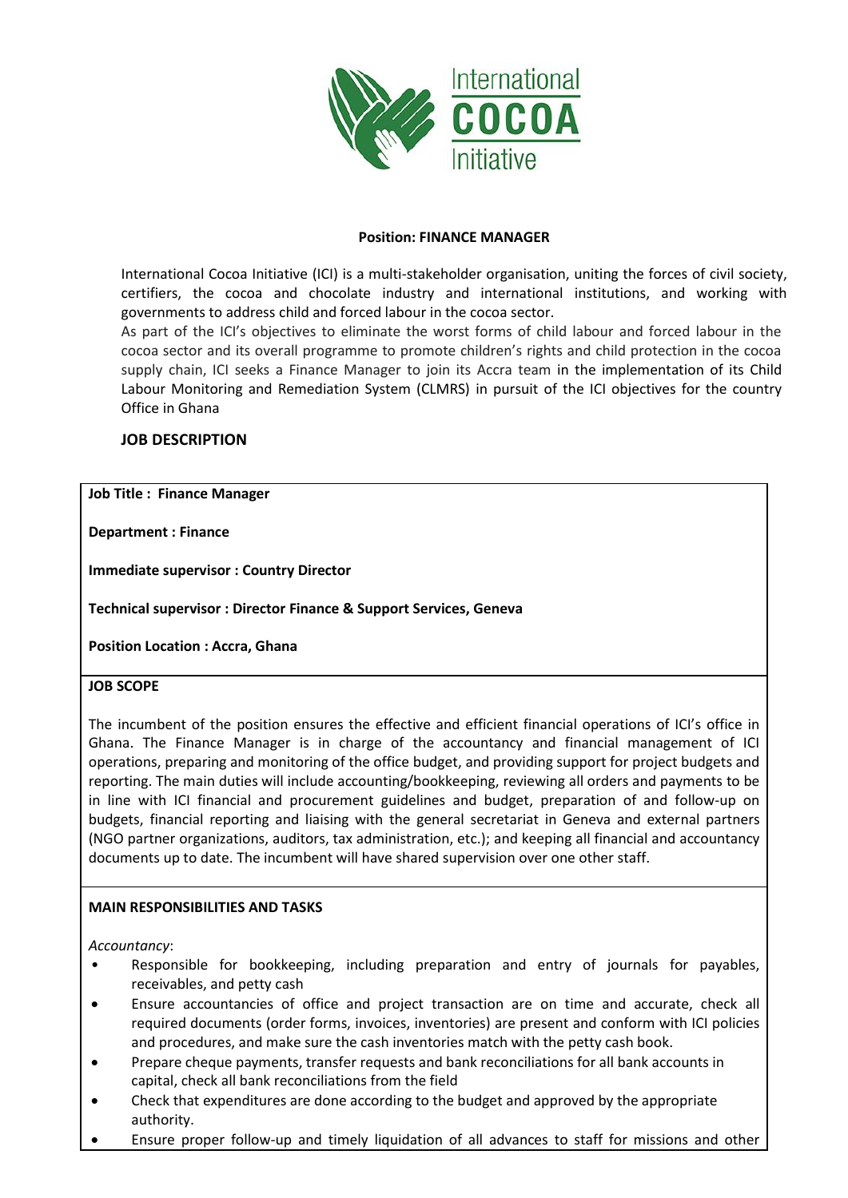

### **Position: FINANCE MANAGER**

International Cocoa Initiative (ICI) is a multi-stakeholder organisation, uniting the forces of civil society, certifiers, the cocoa and chocolate industry and international institutions, and working with governments to address child and forced labour in the cocoa sector.

As part of the ICI's objectives to eliminate the worst forms of child labour and forced labour in the cocoa sector and its overall programme to promote children's rights and child protection in the cocoa supply chain, ICI seeks a Finance Manager to join its Accra team in the implementation of its Child Labour Monitoring and Remediation System (CLMRS) in pursuit of the ICI objectives for the country Office in Ghana

# **JOB DESCRIPTION**

### **Job Title : Finance Manager**

**Department : Finance**

**Immediate supervisor : Country Director**

**Technical supervisor : Director Finance & Support Services, Geneva**

**Position Location : Accra, Ghana**

### **JOB SCOPE**

The incumbent of the position ensures the effective and efficient financial operations of ICI's office in Ghana. The Finance Manager is in charge of the accountancy and financial management of ICI operations, preparing and monitoring of the office budget, and providing support for project budgets and reporting. The main duties will include accounting/bookkeeping, reviewing all orders and payments to be in line with ICI financial and procurement guidelines and budget, preparation of and follow-up on budgets, financial reporting and liaising with the general secretariat in Geneva and external partners (NGO partner organizations, auditors, tax administration, etc.); and keeping all financial and accountancy documents up to date. The incumbent will have shared supervision over one other staff.

### **MAIN RESPONSIBILITIES AND TASKS**

*Accountancy*:

- Responsible for bookkeeping, including preparation and entry of journals for payables, receivables, and petty cash
- Ensure accountancies of office and project transaction are on time and accurate, check all required documents (order forms, invoices, inventories) are present and conform with ICI policies and procedures, and make sure the cash inventories match with the petty cash book.
- Prepare cheque payments, transfer requests and bank reconciliations for all bank accounts in capital, check all bank reconciliations from the field
- Check that expenditures are done according to the budget and approved by the appropriate authority.
- Ensure proper follow-up and timely liquidation of all advances to staff for missions and other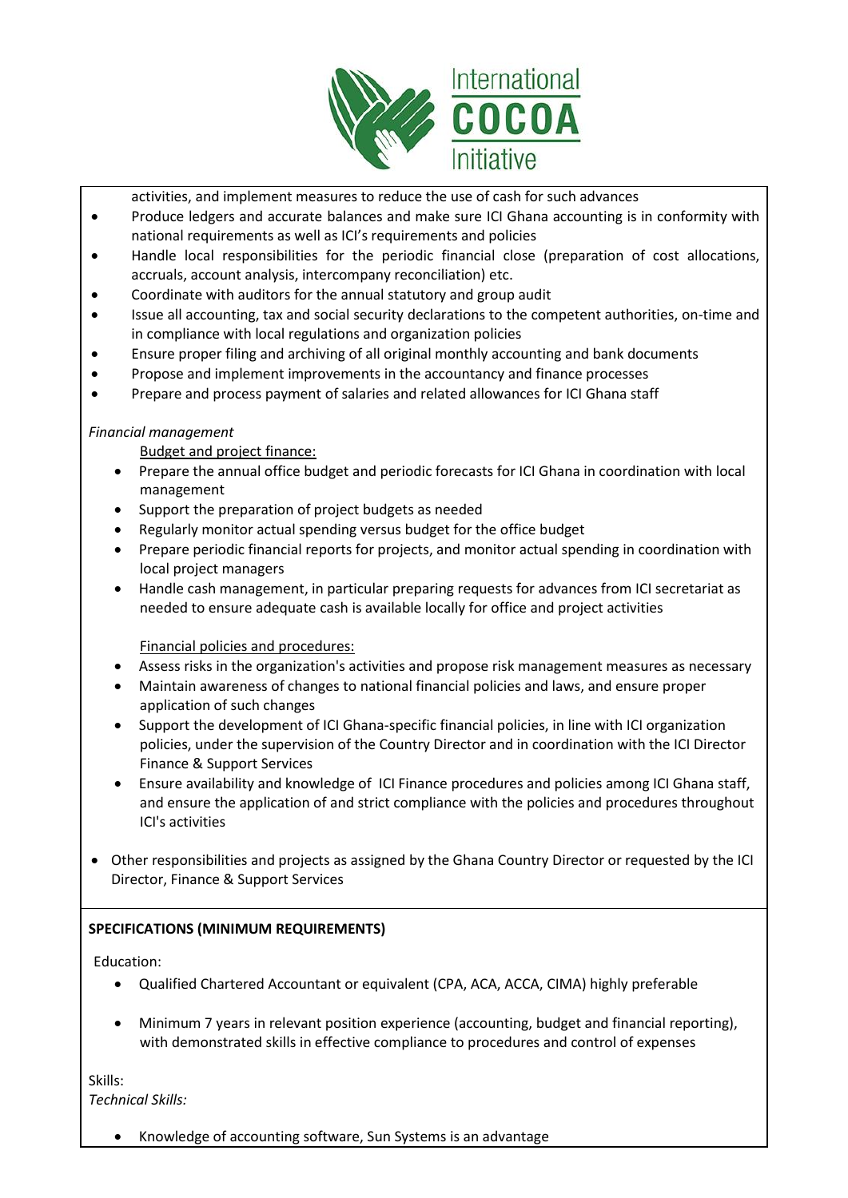

activities, and implement measures to reduce the use of cash for such advances

- Produce ledgers and accurate balances and make sure ICI Ghana accounting is in conformity with national requirements as well as ICI's requirements and policies
- Handle local responsibilities for the periodic financial close (preparation of cost allocations, accruals, account analysis, intercompany reconciliation) etc.
- Coordinate with auditors for the annual statutory and group audit
- Issue all accounting, tax and social security declarations to the competent authorities, on-time and in compliance with local regulations and organization policies
- Ensure proper filing and archiving of all original monthly accounting and bank documents
- Propose and implement improvements in the accountancy and finance processes
- Prepare and process payment of salaries and related allowances for ICI Ghana staff

# *Financial management*

Budget and project finance:

- Prepare the annual office budget and periodic forecasts for ICI Ghana in coordination with local management
- Support the preparation of project budgets as needed
- Regularly monitor actual spending versus budget for the office budget
- Prepare periodic financial reports for projects, and monitor actual spending in coordination with local project managers
- Handle cash management, in particular preparing requests for advances from ICI secretariat as needed to ensure adequate cash is available locally for office and project activities

Financial policies and procedures:

- Assess risks in the organization's activities and propose risk management measures as necessary
- Maintain awareness of changes to national financial policies and laws, and ensure proper application of such changes
- Support the development of ICI Ghana-specific financial policies, in line with ICI organization policies, under the supervision of the Country Director and in coordination with the ICI Director Finance & Support Services
- Ensure availability and knowledge of ICI Finance procedures and policies among ICI Ghana staff, and ensure the application of and strict compliance with the policies and procedures throughout ICI's activities
- Other responsibilities and projects as assigned by the Ghana Country Director or requested by the ICI Director, Finance & Support Services

# **SPECIFICATIONS (MINIMUM REQUIREMENTS)**

Education:

- Qualified Chartered Accountant or equivalent (CPA, ACA, ACCA, CIMA) highly preferable
- Minimum 7 years in relevant position experience (accounting, budget and financial reporting), with demonstrated skills in effective compliance to procedures and control of expenses

Skills: *Technical Skills:*

• Knowledge of accounting software, Sun Systems is an advantage